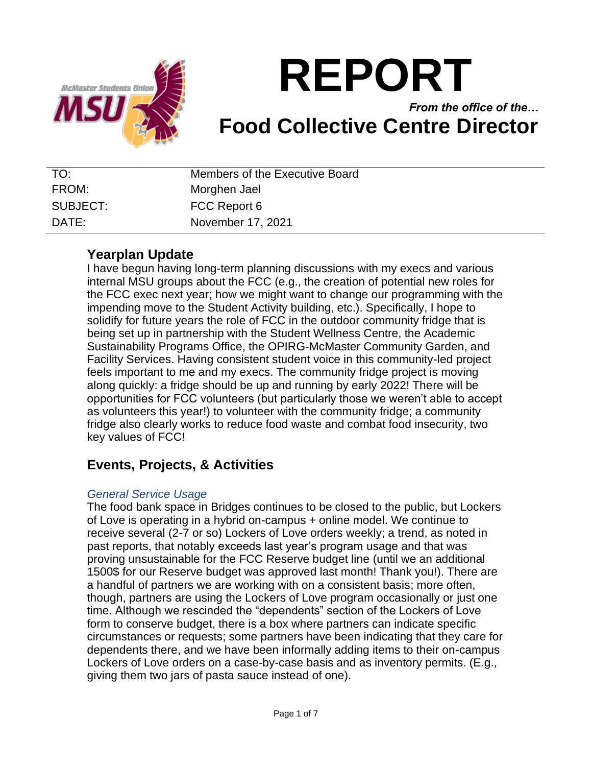

# **REPORT**

## *From the office of the…* **Food Collective Centre Director**

| TO:      | Members of the Executive Board |
|----------|--------------------------------|
| FROM:    | Morghen Jael                   |
| SUBJECT: | FCC Report 6                   |
| DATF:    | November 17, 2021              |

## **Yearplan Update**

I have begun having long-term planning discussions with my execs and various internal MSU groups about the FCC (e.g., the creation of potential new roles for the FCC exec next year; how we might want to change our programming with the impending move to the Student Activity building, etc.). Specifically, I hope to solidify for future years the role of FCC in the outdoor community fridge that is being set up in partnership with the Student Wellness Centre, the Academic Sustainability Programs Office, the OPIRG-McMaster Community Garden, and Facility Services. Having consistent student voice in this community-led project feels important to me and my execs. The community fridge project is moving along quickly: a fridge should be up and running by early 2022! There will be opportunities for FCC volunteers (but particularly those we weren't able to accept as volunteers this year!) to volunteer with the community fridge; a community fridge also clearly works to reduce food waste and combat food insecurity, two key values of FCC!

## **Events, Projects, & Activities**

#### *General Service Usage*

The food bank space in Bridges continues to be closed to the public, but Lockers of Love is operating in a hybrid on-campus + online model. We continue to receive several (2-7 or so) Lockers of Love orders weekly; a trend, as noted in past reports, that notably exceeds last year's program usage and that was proving unsustainable for the FCC Reserve budget line (until we an additional 1500\$ for our Reserve budget was approved last month! Thank you!). There are a handful of partners we are working with on a consistent basis; more often, though, partners are using the Lockers of Love program occasionally or just one time. Although we rescinded the "dependents" section of the Lockers of Love form to conserve budget, there is a box where partners can indicate specific circumstances or requests; some partners have been indicating that they care for dependents there, and we have been informally adding items to their on-campus Lockers of Love orders on a case-by-case basis and as inventory permits. (E.g., giving them two jars of pasta sauce instead of one).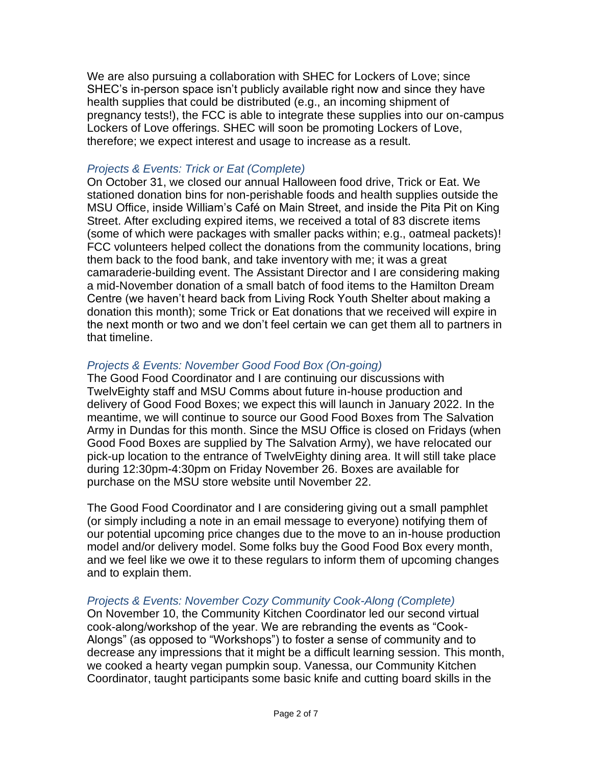We are also pursuing a collaboration with SHEC for Lockers of Love; since SHEC's in-person space isn't publicly available right now and since they have health supplies that could be distributed (e.g., an incoming shipment of pregnancy tests!), the FCC is able to integrate these supplies into our on-campus Lockers of Love offerings. SHEC will soon be promoting Lockers of Love, therefore; we expect interest and usage to increase as a result.

#### *Projects & Events: Trick or Eat (Complete)*

On October 31, we closed our annual Halloween food drive, Trick or Eat. We stationed donation bins for non-perishable foods and health supplies outside the MSU Office, inside William's Café on Main Street, and inside the Pita Pit on King Street. After excluding expired items, we received a total of 83 discrete items (some of which were packages with smaller packs within; e.g., oatmeal packets)! FCC volunteers helped collect the donations from the community locations, bring them back to the food bank, and take inventory with me; it was a great camaraderie-building event. The Assistant Director and I are considering making a mid-November donation of a small batch of food items to the Hamilton Dream Centre (we haven't heard back from Living Rock Youth Shelter about making a donation this month); some Trick or Eat donations that we received will expire in the next month or two and we don't feel certain we can get them all to partners in that timeline.

#### *Projects & Events: November Good Food Box (On-going)*

The Good Food Coordinator and I are continuing our discussions with TwelvEighty staff and MSU Comms about future in-house production and delivery of Good Food Boxes; we expect this will launch in January 2022. In the meantime, we will continue to source our Good Food Boxes from The Salvation Army in Dundas for this month. Since the MSU Office is closed on Fridays (when Good Food Boxes are supplied by The Salvation Army), we have relocated our pick-up location to the entrance of TwelvEighty dining area. It will still take place during 12:30pm-4:30pm on Friday November 26. Boxes are available for purchase on the MSU store website until November 22.

The Good Food Coordinator and I are considering giving out a small pamphlet (or simply including a note in an email message to everyone) notifying them of our potential upcoming price changes due to the move to an in-house production model and/or delivery model. Some folks buy the Good Food Box every month, and we feel like we owe it to these regulars to inform them of upcoming changes and to explain them.

#### *Projects & Events: November Cozy Community Cook-Along (Complete)*

On November 10, the Community Kitchen Coordinator led our second virtual cook-along/workshop of the year. We are rebranding the events as "Cook-Alongs" (as opposed to "Workshops") to foster a sense of community and to decrease any impressions that it might be a difficult learning session. This month, we cooked a hearty vegan pumpkin soup. Vanessa, our Community Kitchen Coordinator, taught participants some basic knife and cutting board skills in the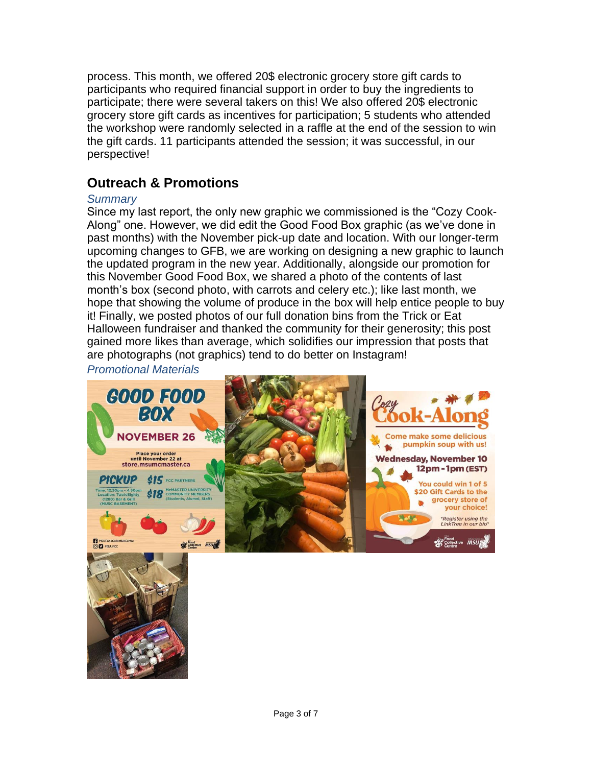process. This month, we offered 20\$ electronic grocery store gift cards to participants who required financial support in order to buy the ingredients to participate; there were several takers on this! We also offered 20\$ electronic grocery store gift cards as incentives for participation; 5 students who attended the workshop were randomly selected in a raffle at the end of the session to win the gift cards. 11 participants attended the session; it was successful, in our perspective!

## **Outreach & Promotions**

#### *Summary*

Since my last report, the only new graphic we commissioned is the "Cozy Cook-Along" one. However, we did edit the Good Food Box graphic (as we've done in past months) with the November pick-up date and location. With our longer-term upcoming changes to GFB, we are working on designing a new graphic to launch the updated program in the new year. Additionally, alongside our promotion for this November Good Food Box, we shared a photo of the contents of last month's box (second photo, with carrots and celery etc.); like last month, we hope that showing the volume of produce in the box will help entice people to buy it! Finally, we posted photos of our full donation bins from the Trick or Eat Halloween fundraiser and thanked the community for their generosity; this post gained more likes than average, which solidifies our impression that posts that are photographs (not graphics) tend to do better on Instagram!

*Promotional Materials*

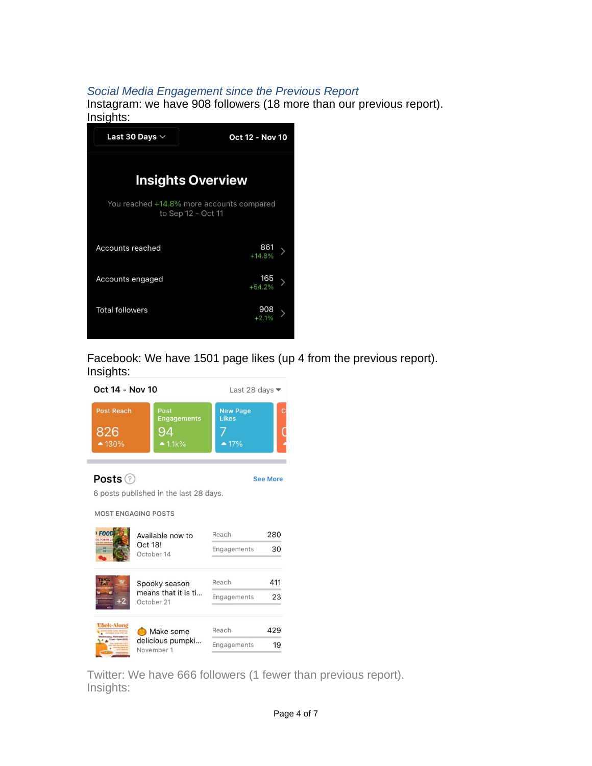#### *Social Media Engagement since the Previous Report*

Instagram: we have 908 followers (18 more than our previous report). Insights:



Facebook: We have 1501 page likes (up 4 from the previous report). Insights:



Twitter: We have 666 followers (1 fewer than previous report). Insights: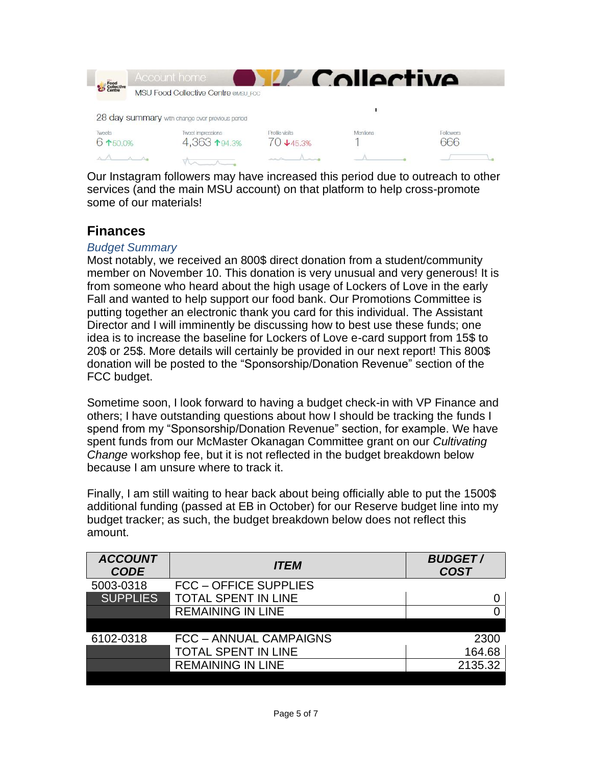|                              | <b>Account home</b>                             |                                | Collective      |           |
|------------------------------|-------------------------------------------------|--------------------------------|-----------------|-----------|
| Food<br>Collective<br>Centre | <b>MSU Food Collective Centre @MSU FCC</b>      |                                |                 |           |
|                              | 28 day summary with change over previous period |                                |                 |           |
| <b>Tweets</b><br>6 150.0%    | Tweet impressions<br>4,363 194.3%               | Profile visits<br>$70 + 45.3%$ | <b>Mentions</b> | Followers |
|                              |                                                 |                                |                 |           |

Our Instagram followers may have increased this period due to outreach to other services (and the main MSU account) on that platform to help cross-promote some of our materials!

## **Finances**

#### *Budget Summary*

Most notably, we received an 800\$ direct donation from a student/community member on November 10. This donation is very unusual and very generous! It is from someone who heard about the high usage of Lockers of Love in the early Fall and wanted to help support our food bank. Our Promotions Committee is putting together an electronic thank you card for this individual. The Assistant Director and I will imminently be discussing how to best use these funds; one idea is to increase the baseline for Lockers of Love e-card support from 15\$ to 20\$ or 25\$. More details will certainly be provided in our next report! This 800\$ donation will be posted to the "Sponsorship/Donation Revenue" section of the FCC budget.

Sometime soon, I look forward to having a budget check-in with VP Finance and others; I have outstanding questions about how I should be tracking the funds I spend from my "Sponsorship/Donation Revenue" section, for example. We have spent funds from our McMaster Okanagan Committee grant on our *Cultivating Change* workshop fee, but it is not reflected in the budget breakdown below because I am unsure where to track it.

Finally, I am still waiting to hear back about being officially able to put the 1500\$ additional funding (passed at EB in October) for our Reserve budget line into my budget tracker; as such, the budget breakdown below does not reflect this amount.

| <b>ACCOUNT</b><br><b>CODE</b> | <b>ITEM</b>                   | <b>BUDGET/</b><br><b>COST</b> |
|-------------------------------|-------------------------------|-------------------------------|
| 5003-0318                     | <b>FCC - OFFICE SUPPLIES</b>  |                               |
| <b>SUPPLIES</b>               | <b>TOTAL SPENT IN LINE</b>    |                               |
|                               | <b>REMAINING IN LINE</b>      |                               |
|                               |                               |                               |
| 6102-0318                     | <b>FCC - ANNUAL CAMPAIGNS</b> | 2300                          |
|                               | <b>TOTAL SPENT IN LINE</b>    | 164.68                        |
|                               | <b>REMAINING IN LINE</b>      | 2135.32                       |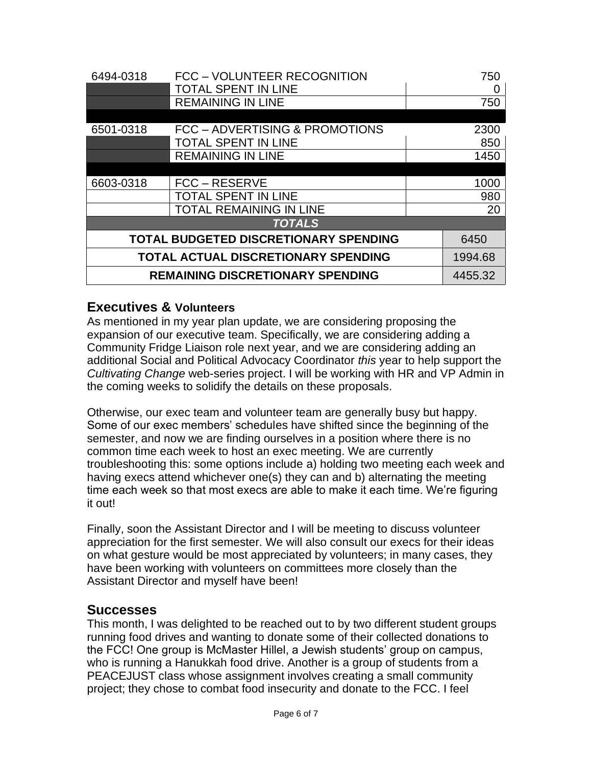| 6494-0318                                    | FCC - VOLUNTEER RECOGNITION    |      | 750     |  |
|----------------------------------------------|--------------------------------|------|---------|--|
|                                              | <b>TOTAL SPENT IN LINE</b>     |      |         |  |
|                                              | <b>REMAINING IN LINE</b>       |      | 750     |  |
|                                              |                                |      |         |  |
| 6501-0318                                    | FCC - ADVERTISING & PROMOTIONS |      | 2300    |  |
|                                              | <b>TOTAL SPENT IN LINE</b>     |      | 850     |  |
|                                              | <b>REMAINING IN LINE</b>       | 1450 |         |  |
|                                              |                                |      |         |  |
| 6603-0318                                    | FCC – RESERVE                  |      | 1000    |  |
|                                              | <b>TOTAL SPENT IN LINE</b>     | 980  |         |  |
|                                              | <b>TOTAL REMAINING IN LINE</b> |      | 20      |  |
| <b>TOTALS</b>                                |                                |      |         |  |
| <b>TOTAL BUDGETED DISCRETIONARY SPENDING</b> |                                |      | 6450    |  |
| <b>TOTAL ACTUAL DISCRETIONARY SPENDING</b>   |                                |      | 1994.68 |  |
| <b>REMAINING DISCRETIONARY SPENDING</b>      |                                |      | 4455.32 |  |

## **Executives & Volunteers**

As mentioned in my year plan update, we are considering proposing the expansion of our executive team. Specifically, we are considering adding a Community Fridge Liaison role next year, and we are considering adding an additional Social and Political Advocacy Coordinator *this* year to help support the *Cultivating Change* web-series project. I will be working with HR and VP Admin in the coming weeks to solidify the details on these proposals.

Otherwise, our exec team and volunteer team are generally busy but happy. Some of our exec members' schedules have shifted since the beginning of the semester, and now we are finding ourselves in a position where there is no common time each week to host an exec meeting. We are currently troubleshooting this: some options include a) holding two meeting each week and having execs attend whichever one(s) they can and b) alternating the meeting time each week so that most execs are able to make it each time. We're figuring it out!

Finally, soon the Assistant Director and I will be meeting to discuss volunteer appreciation for the first semester. We will also consult our execs for their ideas on what gesture would be most appreciated by volunteers; in many cases, they have been working with volunteers on committees more closely than the Assistant Director and myself have been!

#### **Successes**

This month, I was delighted to be reached out to by two different student groups running food drives and wanting to donate some of their collected donations to the FCC! One group is McMaster Hillel, a Jewish students' group on campus, who is running a Hanukkah food drive. Another is a group of students from a PEACEJUST class whose assignment involves creating a small community project; they chose to combat food insecurity and donate to the FCC. I feel